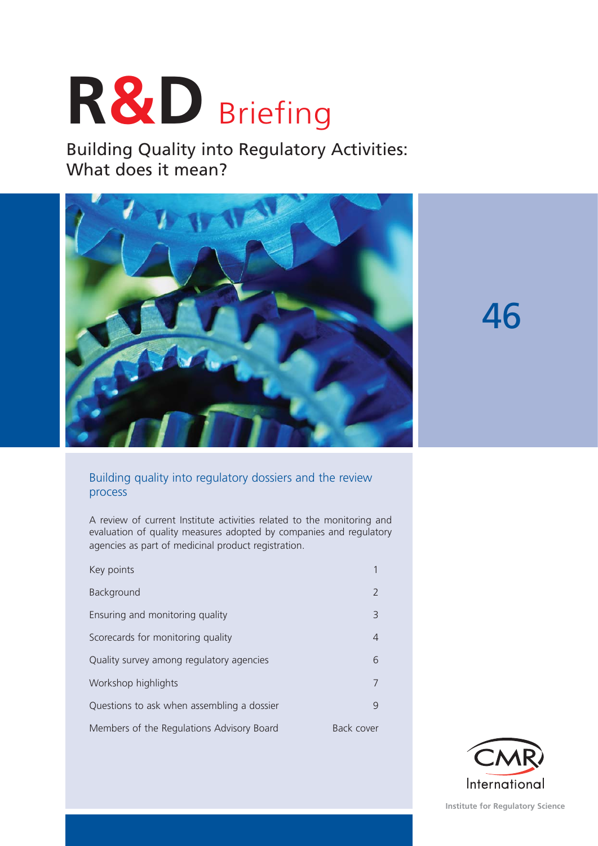# **R&D** Briefing

Building Quality into Regulatory Activities: What does it mean?



46

# Building quality into regulatory dossiers and the review process

A review of current Institute activities related to the monitoring and evaluation of quality measures adopted by companies and regulatory agencies as part of medicinal product registration.

| Key points                                 |            |
|--------------------------------------------|------------|
| Background                                 | 2          |
| Ensuring and monitoring quality            | 3          |
| Scorecards for monitoring quality          | 4          |
| Quality survey among regulatory agencies   | 6          |
| Workshop highlights                        | 7          |
| Questions to ask when assembling a dossier | 9          |
| Members of the Regulations Advisory Board  | Back cover |

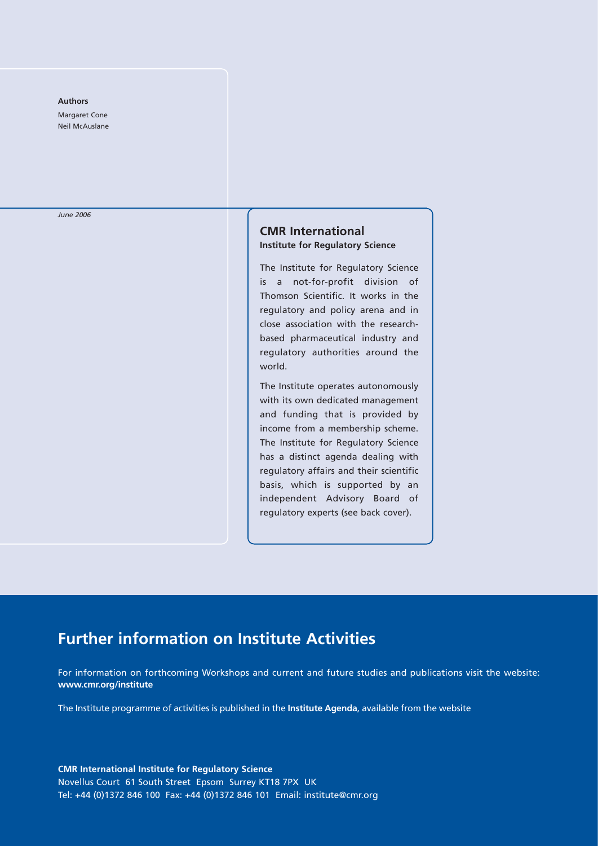#### **Authors**

Margaret Cone Neil McAuslane

*June 2006*

# **CMR International Institute for Regulatory Science**

The Institute for Regulatory Science is a not-for-profit division of Thomson Scientific. It works in the regulatory and policy arena and in close association with the researchbased pharmaceutical industry and regulatory authorities around the world.

The Institute operates autonomously with its own dedicated management and funding that is provided by income from a membership scheme. The Institute for Regulatory Science has a distinct agenda dealing with regulatory affairs and their scientific basis, which is supported by an independent Advisory Board of regulatory experts (see back cover).

# **Further information on Institute Activities**

For information on forthcoming Workshops and current and future studies and publications visit the website: **www.cmr.org/institute**

The Institute programme of activities is published in the **Institute Agenda**, available from the website

**CMR International Institute for Regulatory Science**  Novellus Court 61 South Street Epsom Surrey KT18 7PX UK Tel: +44 (0)1372 846 100 Fax: +44 (0)1372 846 101 Email: institute@cmr.org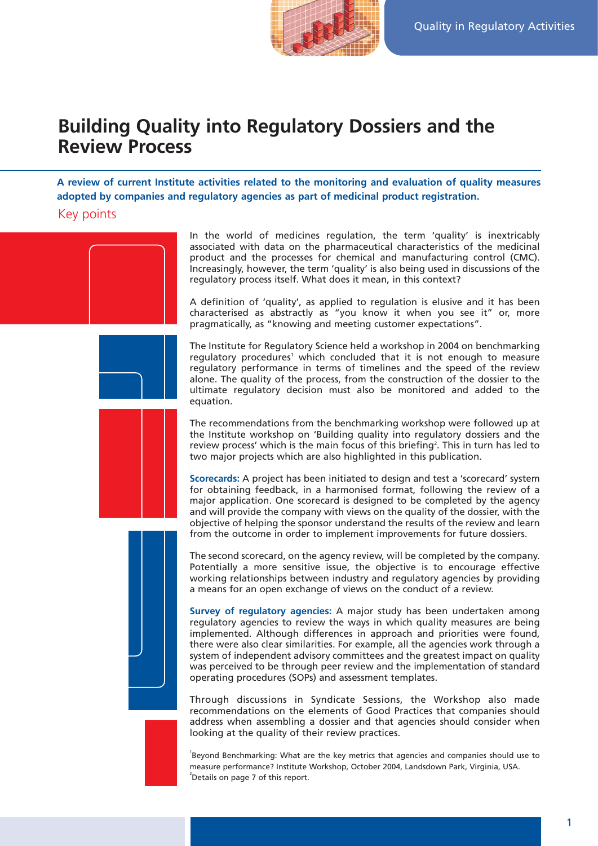

# **Building Quality into Regulatory Dossiers and the Review Process**

**A review of current Institute activities related to the monitoring and evaluation of quality measures adopted by companies and regulatory agencies as part of medicinal product registration.**

# Key points





In the world of medicines regulation, the term 'quality' is inextricably associated with data on the pharmaceutical characteristics of the medicinal product and the processes for chemical and manufacturing control (CMC). Increasingly, however, the term 'quality' is also being used in discussions of the regulatory process itself. What does it mean, in this context?

A definition of 'quality', as applied to regulation is elusive and it has been characterised as abstractly as "you know it when you see it" or, more pragmatically, as "knowing and meeting customer expectations".

The Institute for Regulatory Science held a workshop in 2004 on benchmarking regulatory procedures<sup>1</sup> which concluded that it is not enough to measure regulatory performance in terms of timelines and the speed of the review alone. The quality of the process, from the construction of the dossier to the ultimate regulatory decision must also be monitored and added to the equation.

The recommendations from the benchmarking workshop were followed up at the Institute workshop on 'Building quality into regulatory dossiers and the review process' which is the main focus of this briefing<sup>2</sup>. This in turn has led to two major projects which are also highlighted in this publication.

**Scorecards:** A project has been initiated to design and test a 'scorecard' system for obtaining feedback, in a harmonised format, following the review of a major application. One scorecard is designed to be completed by the agency and will provide the company with views on the quality of the dossier, with the objective of helping the sponsor understand the results of the review and learn from the outcome in order to implement improvements for future dossiers.



The second scorecard, on the agency review, will be completed by the company. Potentially a more sensitive issue, the objective is to encourage effective working relationships between industry and regulatory agencies by providing a means for an open exchange of views on the conduct of a review.

**Survey of regulatory agencies:** A major study has been undertaken among regulatory agencies to review the ways in which quality measures are being implemented. Although differences in approach and priorities were found, there were also clear similarities. For example, all the agencies work through a system of independent advisory committees and the greatest impact on quality was perceived to be through peer review and the implementation of standard operating procedures (SOPs) and assessment templates.

Through discussions in Syndicate Sessions, the Workshop also made recommendations on the elements of Good Practices that companies should address when assembling a dossier and that agencies should consider when looking at the quality of their review practices.

<sup>1</sup>Beyond Benchmarking: What are the key metrics that agencies and companies should use to measure performance? Institute Workshop, October 2004, Landsdown Park, Virginia, USA.  $2$  Details on page 7 of this report.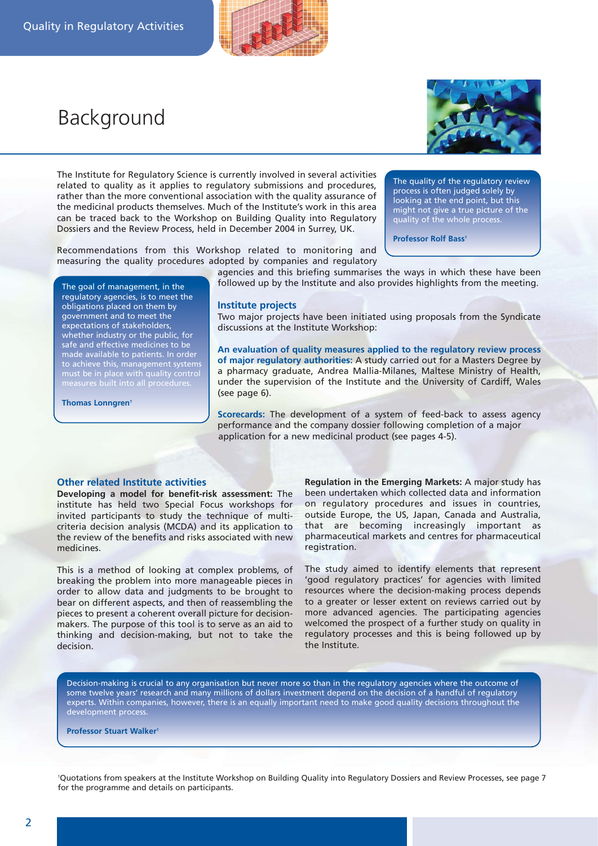

# Background



The Institute for Regulatory Science is currently involved in several activities related to quality as it applies to regulatory submissions and procedures, rather than the more conventional association with the quality assurance of the medicinal products themselves. Much of the Institute's work in this area can be traced back to the Workshop on Building Quality into Regulatory Dossiers and the Review Process, held in December 2004 in Surrey, UK.

Recommendations from this Workshop related to monitoring and measuring the quality procedures adopted by companies and regulatory The quality of the regulatory review process is often judged solely by looking at the end point, but this might not give a true picture of the quality of the whole process.

**Professor Rolf Bass<sup>1</sup>** 

The goal of management, in the regulatory agencies, is to meet the obligations placed on them by government and to meet the expectations of stakeholders, whether industry or the public, for safe and effective medicines to be made available to patients. In order to achieve this, management systems must be in place with quality control

**Thomas Lonngren<sup>1</sup>** 

agencies and this briefing summarises the ways in which these have been followed up by the Institute and also provides highlights from the meeting.

## **Institute projects**

Two major projects have been initiated using proposals from the Syndicate discussions at the Institute Workshop:

**An evaluation of quality measures applied to the regulatory review process of major regulatory authorities:** A study carried out for a Masters Degree by a pharmacy graduate, Andrea Mallia-Milanes, Maltese Ministry of Health, under the supervision of the Institute and the University of Cardiff, Wales (see page 6).

**Scorecards:** The development of a system of feed-back to assess agency performance and the company dossier following completion of a major application for a new medicinal product (see pages 4-5).

## **Other related Institute activities**

**Developing a model for benefit-risk assessment:** The institute has held two Special Focus workshops for invited participants to study the technique of multicriteria decision analysis (MCDA) and its application to the review of the benefits and risks associated with new medicines.

This is a method of looking at complex problems, of breaking the problem into more manageable pieces in order to allow data and judgments to be brought to bear on different aspects, and then of reassembling the pieces to present a coherent overall picture for decisionmakers. The purpose of this tool is to serve as an aid to thinking and decision-making, but not to take the decision.

**Regulation in the Emerging Markets:** A major study has been undertaken which collected data and information on regulatory procedures and issues in countries, outside Europe, the US, Japan, Canada and Australia, that are becoming increasingly important as pharmaceutical markets and centres for pharmaceutical registration.

The study aimed to identify elements that represent 'good regulatory practices' for agencies with limited resources where the decision-making process depends to a greater or lesser extent on reviews carried out by more advanced agencies. The participating agencies welcomed the prospect of a further study on quality in regulatory processes and this is being followed up by the Institute.

Decision-making is crucial to any organisation but never more so than in the regulatory agencies where the outcome of some twelve years' research and many millions of dollars investment depend on the decision of a handful of regulatory experts. Within companies, however, there is an equally important need to make good quality decisions throughout the development process.

**Professor Stuart Walker1**

1 Quotations from speakers at the Institute Workshop on Building Quality into Regulatory Dossiers and Review Processes, see page 7 for the programme and details on participants.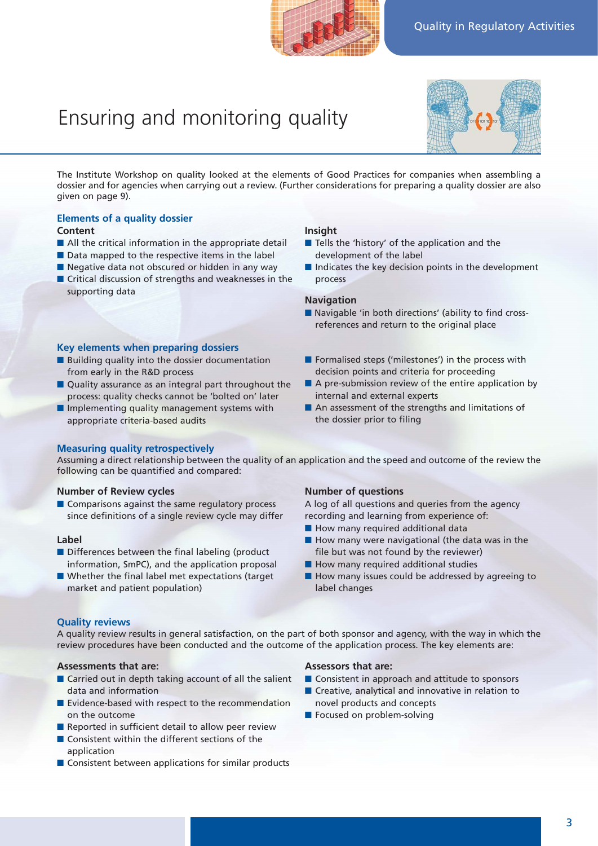# Ensuring and monitoring quality



The Institute Workshop on quality looked at the elements of Good Practices for companies when assembling a dossier and for agencies when carrying out a review. (Further considerations for preparing a quality dossier are also given on page 9).

# **Elements of a quality dossier**

# **Content**

- All the critical information in the appropriate detail
- Data mapped to the respective items in the label
- Negative data not obscured or hidden in any way ■ Critical discussion of strengths and weaknesses in the supporting data

# **Key elements when preparing dossiers**

- Building quality into the dossier documentation from early in the R&D process
- Quality assurance as an integral part throughout the process: quality checks cannot be 'bolted on' later
- Implementing quality management systems with appropriate criteria-based audits

# **Insight**

- Tells the 'history' of the application and the development of the label
- Indicates the key decision points in the development process

# **Navigation**

- Navigable 'in both directions' (ability to find crossreferences and return to the original place
- Formalised steps ('milestones') in the process with decision points and criteria for proceeding
- A pre-submission review of the entire application by internal and external experts
- An assessment of the strengths and limitations of the dossier prior to filing

# **Measuring quality retrospectively**

Assuming a direct relationship between the quality of an application and the speed and outcome of the review the following can be quantified and compared:

# **Number of Review cycles**

■ Comparisons against the same regulatory process since definitions of a single review cycle may differ

# **Label**

- Differences between the final labeling (product information, SmPC), and the application proposal
- Whether the final label met expectations (target market and patient population)

## **Number of questions**

A log of all questions and queries from the agency recording and learning from experience of:

- How many required additional data
- How many were navigational (the data was in the file but was not found by the reviewer)
- How many required additional studies
- How many issues could be addressed by agreeing to label changes

# **Quality reviews**

A quality review results in general satisfaction, on the part of both sponsor and agency, with the way in which the review procedures have been conducted and the outcome of the application process. The key elements are:

# **Assessments that are:**

- Carried out in depth taking account of all the salient data and information
- Evidence-based with respect to the recommendation on the outcome
- Reported in sufficient detail to allow peer review
- Consistent within the different sections of the application
- Consistent between applications for similar products

#### **Assessors that are:**

- Consistent in approach and attitude to sponsors
- Creative, analytical and innovative in relation to novel products and concepts
- Focused on problem-solving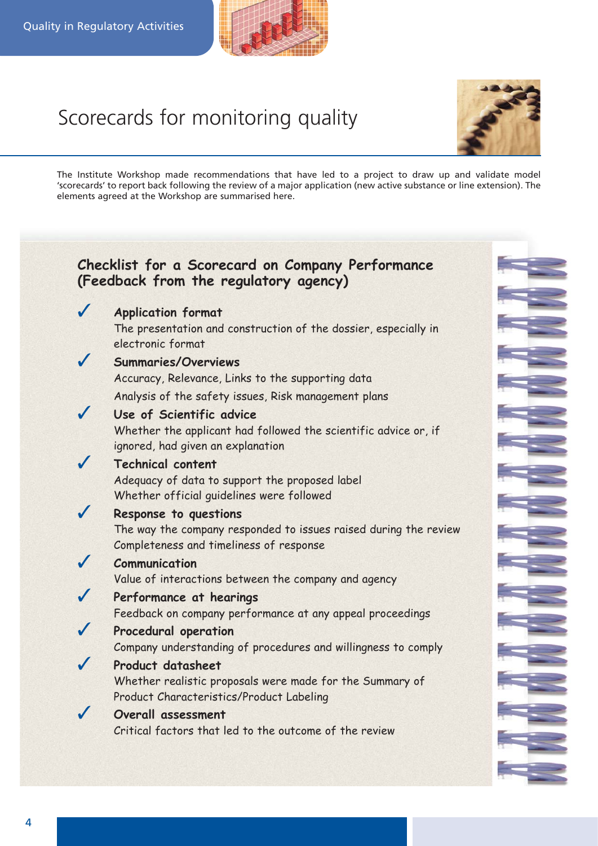

# Scorecards for monitoring quality



The Institute Workshop made recommendations that have led to a project to draw up and validate model 'scorecards' to report back following the review of a major application (new active substance or line extension). The elements agreed at the Workshop are summarised here.

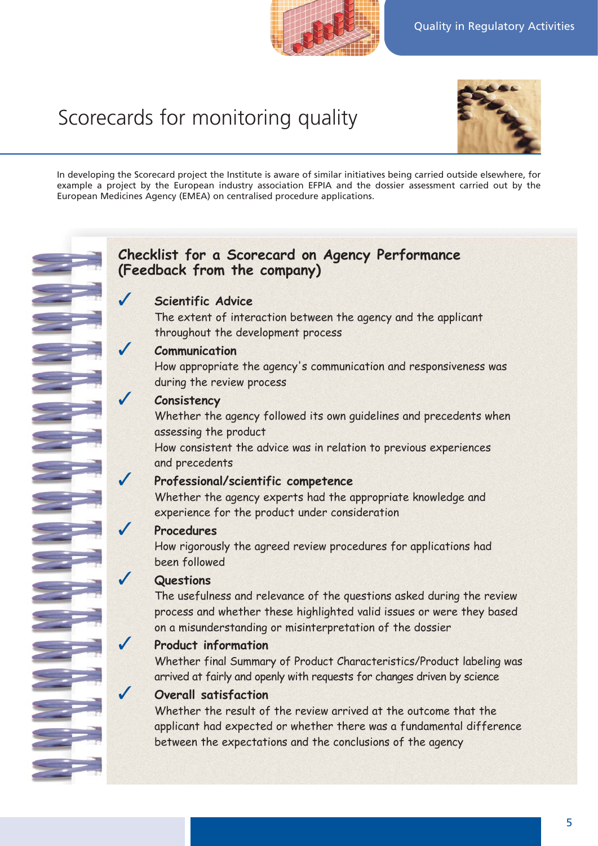# Scorecards for monitoring quality



In developing the Scorecard project the Institute is aware of similar initiatives being carried outside elsewhere, for example a project by the European industry association EFPIA and the dossier assessment carried out by the European Medicines Agency (EMEA) on centralised procedure applications.

# **Checklist for a Scorecard on Agency Performance (Feedback from the company)**

# **Scientific Advice**

The extent of interaction between the agency and the applicant throughout the development process

# ✓ **Communication**

How appropriate the agency's communication and responsiveness was during the review process

# ✓ **Consistency**

Whether the agency followed its own guidelines and precedents when assessing the product

How consistent the advice was in relation to previous experiences and precedents

# ✓ **Professional/scientific competence**

Whether the agency experts had the appropriate knowledge and experience for the product under consideration

# ✓ **Procedures**

How rigorously the agreed review procedures for applications had been followed

# ✓ **Questions**

The usefulness and relevance of the questions asked during the review process and whether these highlighted valid issues or were they based on a misunderstanding or misinterpretation of the dossier

# ✓ **Product information**

Whether final Summary of Product Characteristics/Product labeling was arrived at fairly and openly with requests for changes driven by science

# **Overall satisfaction**

Whether the result of the review arrived at the outcome that the applicant had expected or whether there was a fundamental difference between the expectations and the conclusions of the agency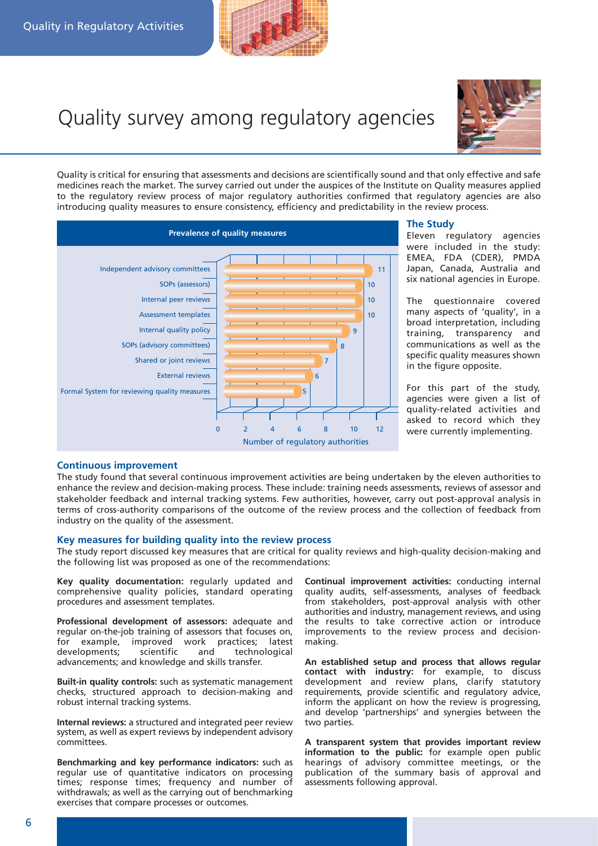

# Quality survey among regulatory agencies



Quality is critical for ensuring that assessments and decisions are scientifically sound and that only effective and safe medicines reach the market. The survey carried out under the auspices of the Institute on Quality measures applied to the regulatory review process of major regulatory authorities confirmed that regulatory agencies are also introducing quality measures to ensure consistency, efficiency and predictability in the review process.



## **The Study**

Eleven regulatory agencies were included in the study: EMEA, FDA (CDER), PMDA Japan, Canada, Australia and six national agencies in Europe.

The questionnaire covered many aspects of 'quality', in a broad interpretation, including training, transparency and communications as well as the specific quality measures shown in the figure opposite.

For this part of the study, agencies were given a list of quality-related activities and asked to record which they were currently implementing.

# **Continuous improvement**

The study found that several continuous improvement activities are being undertaken by the eleven authorities to enhance the review and decision-making process. These include: training needs assessments, reviews of assessor and stakeholder feedback and internal tracking systems. Few authorities, however, carry out post-approval analysis in terms of cross-authority comparisons of the outcome of the review process and the collection of feedback from industry on the quality of the assessment.

# **Key measures for building quality into the review process**

The study report discussed key measures that are critical for quality reviews and high-quality decision-making and the following list was proposed as one of the recommendations:

**Key quality documentation:** regularly updated and comprehensive quality policies, standard operating procedures and assessment templates.

**Professional development of assessors:** adequate and regular on-the-job training of assessors that focuses on, for example, improved work practices; latest<br>developments: scientific and technological developments; scientific and technological advancements; and knowledge and skills transfer.

**Built-in quality controls:** such as systematic management checks, structured approach to decision-making and robust internal tracking systems.

**Internal reviews:** a structured and integrated peer review system, as well as expert reviews by independent advisory committees.

**Benchmarking and key performance indicators:** such as regular use of quantitative indicators on processing times; response times; frequency and number of withdrawals; as well as the carrying out of benchmarking exercises that compare processes or outcomes.

**Continual improvement activities:** conducting internal quality audits, self-assessments, analyses of feedback from stakeholders, post-approval analysis with other authorities and industry, management reviews, and using the results to take corrective action or introduce improvements to the review process and decisionmaking.

**An established setup and process that allows regular contact with industry:** for example, to discuss development and review plans, clarify statutory requirements, provide scientific and regulatory advice, inform the applicant on how the review is progressing, and develop 'partnerships' and synergies between the two parties.

**A transparent system that provides important review information to the public:** for example open public hearings of advisory committee meetings, or the publication of the summary basis of approval and assessments following approval.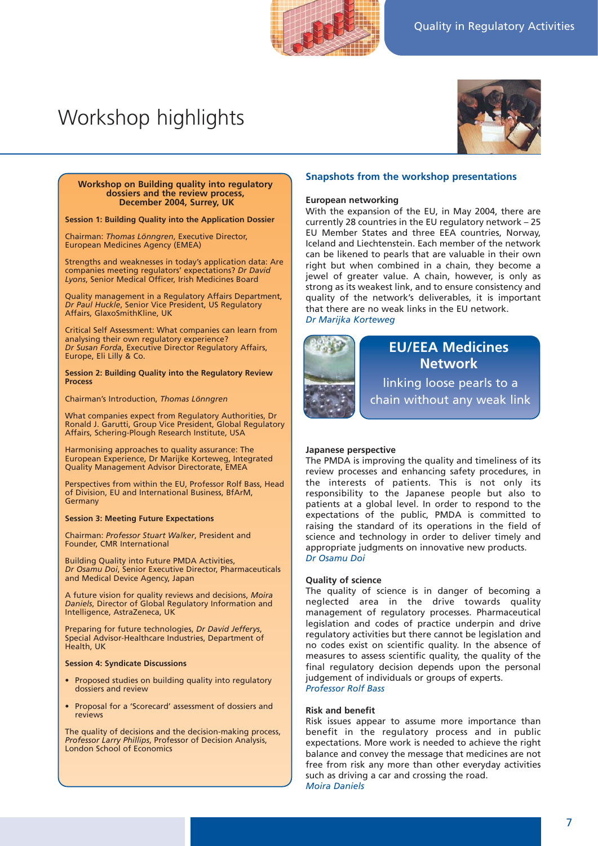# Workshop highlights



#### **Workshop on Building quality into regulatory dossiers and the review process, December 2004, Surrey, UK**

**Session 1: Building Quality into the Application Dossier**

Chairman: *Thomas Lönngren*, Executive Director, European Medicines Agency (EMEA)

Strengths and weaknesses in today's application data: Are companies meeting regulators' expectations? *Dr David Lyons*, Senior Medical Officer, Irish Medicines Board

Quality management in a Regulatory Affairs Department, *Dr Paul Huckle*, Senior Vice President, US Regulatory Affairs, GlaxoSmithKline, UK

Critical Self Assessment: What companies can learn from analysing their own regulatory experience? *Dr Susan Forda*, Executive Director Regulatory Affairs, Europe, Eli Lilly & Co.

**Session 2: Building Quality into the Regulatory Review Process**

Chairman's Introduction, *Thomas Lönngren*

What companies expect from Regulatory Authorities, Dr Ronald J. Garutti, Group Vice President, Global Regulatory Affairs, Schering-Plough Research Institute, USA

Harmonising approaches to quality assurance: The European Experience, Dr Marijke Korteweg, Integrated Quality Management Advisor Directorate, EMEA

Perspectives from within the EU, Professor Rolf Bass, Head of Division, EU and International Business, BfArM, Germany

#### **Session 3: Meeting Future Expectations**

Chairman: *Professor Stuart Walker*, President and Founder, CMR International

Building Quality into Future PMDA Activities, *Dr Osamu Doi*, Senior Executive Director, Pharmaceuticals and Medical Device Agency, Japan

A future vision for quality reviews and decisions, *Moira Daniels*, Director of Global Regulatory Information and Intelligence, AstraZeneca, UK

Preparing for future technologies, *Dr David Jefferys*, Special Advisor-Healthcare Industries, Department of Health, UK

#### **Session 4: Syndicate Discussions**

- Proposed studies on building quality into regulatory dossiers and review
- Proposal for a 'Scorecard' assessment of dossiers and reviews

The quality of decisions and the decision-making process, *Professor Larry Phillips*, Professor of Decision Analysis, London School of Economics

#### **Snapshots from the workshop presentations**

#### **European networking**

With the expansion of the EU, in May 2004, there are currently 28 countries in the EU regulatory network – 25 EU Member States and three EEA countries, Norway, Iceland and Liechtenstein. Each member of the network can be likened to pearls that are valuable in their own right but when combined in a chain, they become a jewel of greater value. A chain, however, is only as strong as its weakest link, and to ensure consistency and quality of the network's deliverables, it is important that there are no weak links in the EU network. *Dr Marijka Korteweg*



# linking loose pearls to a **EU/EEA Medicines Network**

chain without any weak link

#### **Japanese perspective**

The PMDA is improving the quality and timeliness of its review processes and enhancing safety procedures, in the interests of patients. This is not only its responsibility to the Japanese people but also to patients at a global level. In order to respond to the expectations of the public, PMDA is committed to raising the standard of its operations in the field of science and technology in order to deliver timely and appropriate judgments on innovative new products. *Dr Osamu Doi*

#### **Quality of science**

The quality of science is in danger of becoming a neglected area in the drive towards quality management of regulatory processes. Pharmaceutical legislation and codes of practice underpin and drive regulatory activities but there cannot be legislation and no codes exist on scientific quality. In the absence of measures to assess scientific quality, the quality of the final regulatory decision depends upon the personal judgement of individuals or groups of experts. *Professor Rolf Bass*

#### **Risk and benefit**

Risk issues appear to assume more importance than benefit in the regulatory process and in public expectations. More work is needed to achieve the right balance and convey the message that medicines are not free from risk any more than other everyday activities such as driving a car and crossing the road. *Moira Daniels*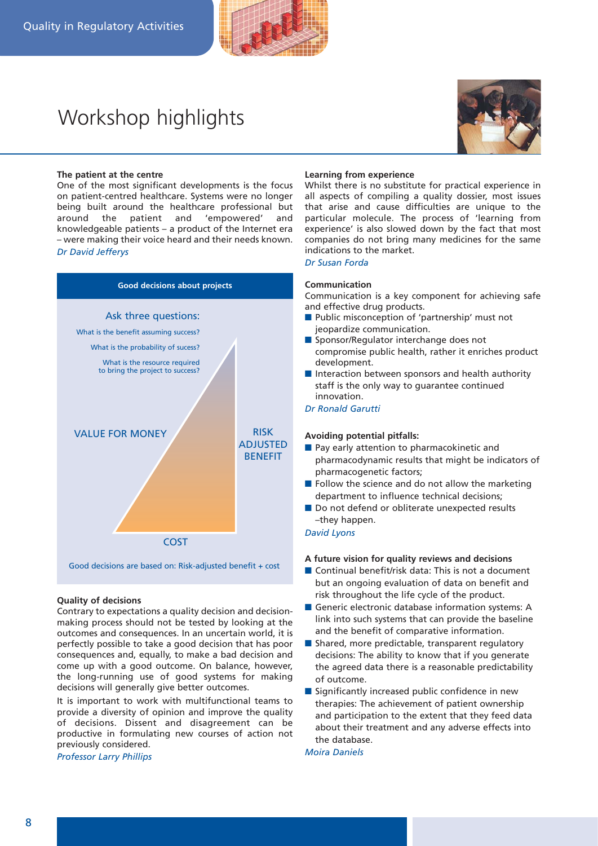# Workshop highlights



#### **The patient at the centre**

One of the most significant developments is the focus on patient-centred healthcare. Systems were no longer being built around the healthcare professional but around the patient and 'empowered' and knowledgeable patients – a product of the Internet era – were making their voice heard and their needs known. *Dr David Jefferys*



## **Quality of decisions**

Contrary to expectations a quality decision and decisionmaking process should not be tested by looking at the outcomes and consequences. In an uncertain world, it is perfectly possible to take a good decision that has poor consequences and, equally, to make a bad decision and come up with a good outcome. On balance, however, the long-running use of good systems for making decisions will generally give better outcomes.

It is important to work with multifunctional teams to provide a diversity of opinion and improve the quality of decisions. Dissent and disagreement can be productive in formulating new courses of action not previously considered.

*Professor Larry Phillips*

#### **Learning from experience**

Whilst there is no substitute for practical experience in all aspects of compiling a quality dossier, most issues that arise and cause difficulties are unique to the particular molecule. The process of 'learning from experience' is also slowed down by the fact that most companies do not bring many medicines for the same indications to the market.

*Dr Susan Forda*

## **Communication**

Communication is a key component for achieving safe and effective drug products.

- Public misconception of 'partnership' must not jeopardize communication.
- Sponsor/Regulator interchange does not compromise public health, rather it enriches product development.
- Interaction between sponsors and health authority staff is the only way to guarantee continued innovation.

*Dr Ronald Garutti*

## **Avoiding potential pitfalls:**

- Pay early attention to pharmacokinetic and pharmacodynamic results that might be indicators of pharmacogenetic factors;
- Follow the science and do not allow the marketing department to influence technical decisions;
- Do not defend or obliterate unexpected results –they happen.

#### *David Lyons*

#### **A future vision for quality reviews and decisions**

- Continual benefit/risk data: This is not a document but an ongoing evaluation of data on benefit and risk throughout the life cycle of the product.
- Generic electronic database information systems: A link into such systems that can provide the baseline and the benefit of comparative information.
- Shared, more predictable, transparent regulatory decisions: The ability to know that if you generate the agreed data there is a reasonable predictability of outcome.
- Significantly increased public confidence in new therapies: The achievement of patient ownership and participation to the extent that they feed data about their treatment and any adverse effects into the database.

*Moira Daniels*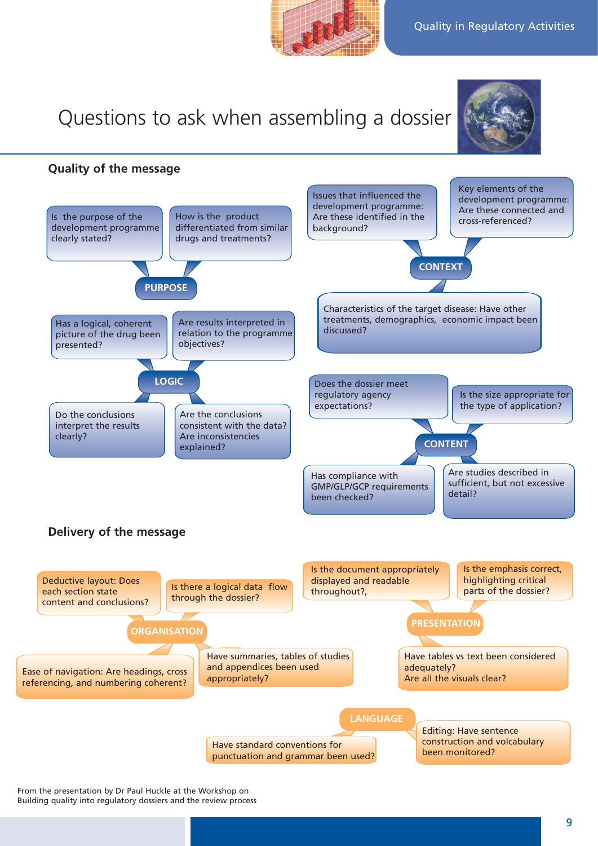# Questions to ask when assembling a dossier



**Quality of the message**



From the presentation by Dr Paul Huckle at the Workshop on Building quality into regulatory dossiers and the review process